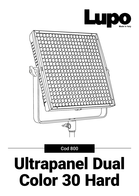



## Ultrapanel Dual Color 30 Hard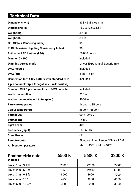| <b>Dimensions (cm)</b>                                 | 338 x 318 x 66 mm                |  |
|--------------------------------------------------------|----------------------------------|--|
| Dimensions (in)                                        | 13.3 x 12.5 x 2.5 in             |  |
|                                                        |                                  |  |
| Weight (kg)                                            | $3,7$ kg                         |  |
| Weight (lb)                                            | 8.1 lb                           |  |
| <b>CRI (Colour Rendering Index)</b>                    | 95                               |  |
| <b>TLCI (Television Lighting Consistency Index)</b>    | 96                               |  |
| <b>Estimated LED lifetime (L80)</b>                    | 50,000 hours                     |  |
| <b>Dimmer 0 - 100</b>                                  | included                         |  |
| <b>Dimming curves mode</b>                             | Linear, Exponential, Logarithmic |  |
| <b>DMX</b> module                                      | included                         |  |
| DMX (bit)                                              | 8 bit / 16 bit                   |  |
| <b>Connection for 14.8 V battery with standard XLR</b> | included                         |  |
| 4 pin connector (pin 1: negative / pin 4: positive)    |                                  |  |
| <b>Standard XLR 5 pin connectors to DMX console</b>    | included                         |  |
| <b>Watt consumption</b>                                | 220 W                            |  |
| Watt output (equivalent to tungsten)                   | 4000 W                           |  |
| <b>Firmware upgrades</b>                               | through USB port                 |  |
| <b>Colour temperature</b>                              | 2800 K - 6500 K                  |  |
| <b>Voltage AC</b>                                      | 90 V - 240 V                     |  |
| <b>Voltage DC</b>                                      | 14.8 V                           |  |
| <b>Light beam</b>                                      | $40^{\circ}$                     |  |
| <b>Frequency (input)</b>                               | 50 / 60 Hz                       |  |
| <b>Compliance</b>                                      | <b>CE</b>                        |  |
| <b>Remote control</b>                                  | Bluetooth Long Range / DMX / RDM |  |
| <b>Ambient temperature</b>                             | Max: +45°C / Min: -10°C          |  |
|                                                        |                                  |  |

| <b>Photometric data</b><br><b>Distance</b> | 6500 K | 5600 K | 3200 K |
|--------------------------------------------|--------|--------|--------|
| Lux at $1 m - 3.2 ft$                      | 73000  | 72000  | 65000  |
| Lux at $2 m - 6.5 ft$                      | 19600  | 19400  | 17500  |
| Lux at $3 m - 9.8 ft$                      | 8600   | 8600   | 7900   |
| Lux at 4 m - 13.1 ft                       | 4950   | 4900   | 4550   |
| Lux at 5 m - 16.4 ft                       | 3200   | 3200   | 3000   |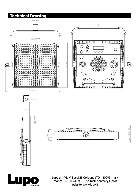

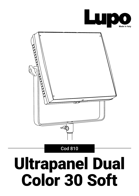



# Ultrapanel Dual Color 30 Soft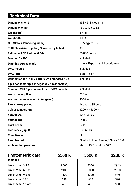| <b>Dimensions (cm)</b>                                 | 338 x 318 x 66 mm                |  |
|--------------------------------------------------------|----------------------------------|--|
| Dimensions (in)                                        | 13.3 x 12.5 x 2.5 in             |  |
| Weight (kg)                                            | $3,7$ kg                         |  |
| Weight (lb)                                            | 8.1 lb                           |  |
|                                                        |                                  |  |
| <b>CRI (Colour Rendering Index)</b>                    | > 95, typical 96                 |  |
| <b>TLCI (Television Lighting Consistency Index)</b>    | 98                               |  |
| <b>Estimated LED lifetime (L80)</b>                    | 50,000 hours                     |  |
| <b>Dimmer 0 - 100</b>                                  | included                         |  |
| <b>Dimming curves mode</b>                             | Linear, Exponential, Logarithmic |  |
| <b>DMX</b> module                                      | included                         |  |
| DMX (bit)                                              | 8 bit / 16 bit                   |  |
| <b>Connection for 14.8 V battery with standard XLR</b> | included                         |  |
| 4 pin connector (pin 1: negative / pin 4: positive)    |                                  |  |
| <b>Standard XLR 5 pin connectors to DMX console</b>    | included                         |  |
| <b>Watt consumption</b>                                | 200 W                            |  |
| Watt output (equivalent to tungsten)                   | 4000 W                           |  |
| <b>Firmware upgrades</b>                               | through USB port                 |  |
| <b>Colour temperature</b>                              | 3200 K - 5600 K                  |  |
| <b>Voltage AC</b>                                      | 90 V - 240 V                     |  |
| <b>Voltage DC</b>                                      | 14.8 V                           |  |
| <b>Light beam</b>                                      | 120°                             |  |
| <b>Frequency (input)</b>                               | 50 / 60 Hz                       |  |
| <b>Compliance</b>                                      | <b>CE</b>                        |  |
| <b>Remote control</b>                                  | Bluetooth Long Range / DMX / RDM |  |
| <b>Ambient temperature</b>                             | Max: +45°C / Min: -10°C          |  |

| <b>Photometric data</b><br><b>Distance</b> | 6500 K | 5600 K | 3200 K |
|--------------------------------------------|--------|--------|--------|
| Lux at $1 m - 3.2 ft$                      | 8600   | 8350   | 7800   |
| Lux at $2 m - 6.5 ft$                      | 2100   | 2050   | 2000   |
| Lux at $3 m - 9.8 ft$                      | 1100   | 1000   | 940    |
| Lux at 4 m - 13.1 ft                       | 630    | 620    | 590    |
| Lux at 5 m - 16.4 ft                       | 410    | 400    | 380    |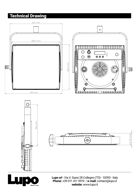

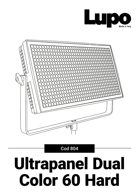



# Ultrapanel Dual Color 60 Hard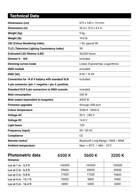| Dimensions (cm)                                        | 673 x 340 x 113 mm               |  |
|--------------------------------------------------------|----------------------------------|--|
| Dimensions (in)                                        | 26.4 x 13.5 x 4.4 in             |  |
| Weight (kg)                                            | 9 kg                             |  |
| Weight (lb)                                            | 19.8 lb                          |  |
| <b>CRI (Colour Rendering Index)</b>                    | > 95, typical 96                 |  |
| <b>TLCI (Television Lighting Consistency Index)</b>    | 98                               |  |
| <b>Estimated LED lifetime (L80)</b>                    | 50,000 hours                     |  |
| <b>Dimmer 0 - 100</b>                                  | included                         |  |
| <b>Dimming curves mode</b>                             | Linear, Exponential, Logarithmic |  |
| <b>DMX</b> module                                      | included                         |  |
| DMX (bit)                                              | 8 bit / 16 bit                   |  |
| <b>Connection for 14.8 V battery with standard XLR</b> | included                         |  |
| 4 pin connector (pin 1: negative / pin 4: positive)    |                                  |  |
| <b>Standard XLR 5 pin connectors to DMX console</b>    | included                         |  |
| <b>Watt consumption</b>                                | 200 W                            |  |
| Watt output (equivalent to tungsten)                   | 4000 W                           |  |
| <b>Firmware upgrades</b>                               | through USB port                 |  |
| <b>Colour temperature</b>                              | 3200 K - 5600 K                  |  |
| <b>Voltage AC</b>                                      | 90 V - 240 V                     |  |
| <b>Voltage DC</b>                                      | 14.8 V                           |  |
| <b>Light beam</b>                                      | 120°                             |  |
| <b>Frequency (input)</b>                               | 50 / 60 Hz                       |  |
| <b>Compliance</b>                                      | <b>CE</b>                        |  |
| <b>Remote control</b>                                  | Bluetooth Long Range / DMX / RDM |  |
| <b>Ambient temperature</b>                             | Max: +45°C / Min: -10°C          |  |

| <b>Photometric data</b><br><b>Distance</b> | 6500 K | 5600 K | 3200 K |
|--------------------------------------------|--------|--------|--------|
| Lux at $1 m - 3.2 ft$                      | 146000 | 143000 | 130000 |
| Lux at $2 m - 6.5 ft$                      | 39600  | 39000  | 35000  |
| Lux at $3 m - 9.8 ft$                      | 17500  | 17200  | 15800  |
| Lux at 4 m - 13.1 ft                       | 10000  | 9800   | 9400   |
| Lux at 5 m - 16.4 ft                       | 6800   | 6400   | 6000   |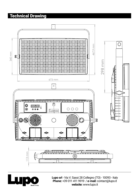

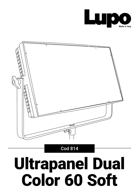



# Ultrapanel Dual Color 60 Soft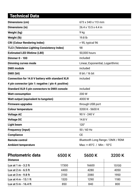| Dimensions (cm)                                        | 673 x 340 x 113 mm               |  |
|--------------------------------------------------------|----------------------------------|--|
| Dimensions (in)                                        | 26.4 x 13.5 x 4.4 in             |  |
| Weight (kg)                                            | 9 kg                             |  |
| Weight (lb)                                            | 19.8 lb                          |  |
| <b>CRI (Colour Rendering Index)</b>                    | > 95, typical 96                 |  |
| <b>TLCI (Television Lighting Consistency Index)</b>    | 98                               |  |
| <b>Estimated LED lifetime (L80)</b>                    | 50,000 hours                     |  |
| <b>Dimmer 0 - 100</b>                                  | included                         |  |
| <b>Dimming curves mode</b>                             | Linear, Exponential, Logarithmic |  |
| <b>DMX</b> module                                      | included                         |  |
| DMX (bit)                                              | 8 bit / 16 bit                   |  |
| <b>Connection for 14.8 V battery with standard XLR</b> | included                         |  |
| 4 pin connector (pin 1: negative / pin 4: positive)    |                                  |  |
| <b>Standard XLR 5 pin connectors to DMX console</b>    | included                         |  |
| <b>Watt consumption</b>                                | 200 W                            |  |
| Watt output (equivalent to tungsten)                   | 4000 W                           |  |
| <b>Firmware upgrades</b>                               | through USB port                 |  |
| <b>Colour temperature</b>                              | 3200 K - 5600 K                  |  |
| <b>Voltage AC</b>                                      | 90 V - 240 V                     |  |
| <b>Voltage DC</b>                                      | 14.8 V                           |  |
| <b>Light beam</b>                                      | $120^\circ$                      |  |
| <b>Frequency (input)</b>                               | 50 / 60 Hz                       |  |
| <b>Compliance</b>                                      | <b>CE</b>                        |  |
| <b>Remote control</b>                                  | Bluetooth Long Range / DMX / RDM |  |
| <b>Ambient temperature</b>                             | Max: +45°C / Min: -10°C          |  |

| <b>Photometric data</b><br><b>Distance</b> | 6500 K | 5600 K | 3200 K |
|--------------------------------------------|--------|--------|--------|
| Lux at $1 m - 3.2 ft$                      | 17300  | 16600  | 15100  |
| Lux at $2 m - 6.5 ft$                      | 4400   | 4280   | 4050   |
| Lux at 3 m - 9.8 ft                        | 2150   | 2080   | 1950   |
| Lux at 4 m - 13.1 ft                       | 1320   | 1290   | 1180   |
| Lux at 5 m - 16.4 ft                       | 850    | 840    | 800    |